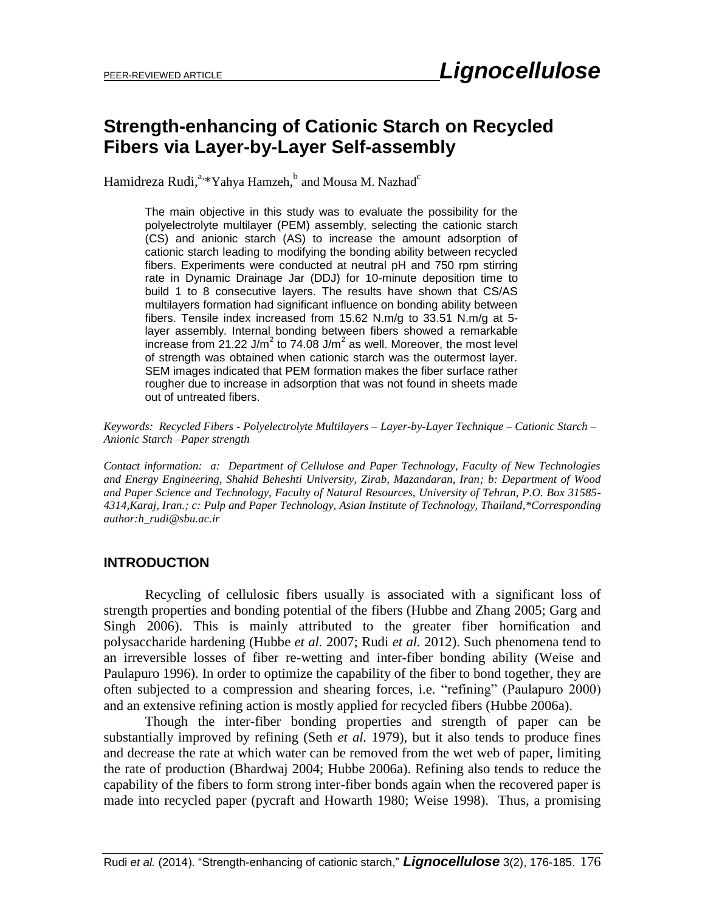# **Strength-enhancing of Cationic Starch on Recycled Fibers via Layer-by-Layer Self-assembly**

Hamidreza Rudi,<sup>a,</sup>\*Yahya Hamzeh,<sup>b</sup> and Mousa M. Nazhad<sup>c</sup>

The main objective in this study was to evaluate the possibility for the polyelectrolyte multilayer (PEM) assembly, selecting the cationic starch (CS) and anionic starch (AS) to increase the amount adsorption of cationic starch leading to modifying the bonding ability between recycled fibers. Experiments were conducted at neutral pH and 750 rpm stirring rate in Dynamic Drainage Jar (DDJ) for 10-minute deposition time to build 1 to 8 consecutive layers. The results have shown that CS/AS multilayers formation had significant influence on bonding ability between fibers. Tensile index increased from 15.62 N.m/g to 33.51 N.m/g at 5 layer assembly. Internal bonding between fibers showed a remarkable increase from 21.22 J/m<sup>2</sup> to 74.08 J/m<sup>2</sup> as well. Moreover, the most level of strength was obtained when cationic starch was the outermost layer. SEM images indicated that PEM formation makes the fiber surface rather rougher due to increase in adsorption that was not found in sheets made out of untreated fibers.

*Keywords: Recycled Fibers - Polyelectrolyte Multilayers – Layer-by-Layer Technique – Cationic Starch – Anionic Starch –Paper strength*

*Contact information: a: Department of Cellulose and Paper Technology, Faculty of New Technologies and Energy Engineering, Shahid Beheshti University, Zirab, Mazandaran, Iran; b: Department of Wood and Paper Science and Technology, Faculty of Natural Resources, University of Tehran, P.O. Box 31585- 4314,Karaj, Iran.; c: Pulp and Paper Technology, Asian Institute of Technology, Thailand,\*Corresponding author:h\_rudi@sbu.ac.ir*

#### **INTRODUCTION**

Recycling of cellulosic fibers usually is associated with a significant loss of strength properties and bonding potential of the fibers (Hubbe and Zhang 2005; Garg and Singh 2006). This is mainly attributed to the greater fiber hornification and polysaccharide hardening (Hubbe *et al.* 2007; Rudi *et al.* 2012). Such phenomena tend to an irreversible losses of fiber re-wetting and inter-fiber bonding ability (Weise and Paulapuro 1996). In order to optimize the capability of the fiber to bond together, they are often subjected to a compression and shearing forces, i.e. "refining" (Paulapuro 2000) and an extensive refining action is mostly applied for recycled fibers (Hubbe 2006a).

Though the inter-fiber bonding properties and strength of paper can be substantially improved by refining (Seth *et al.* 1979), but it also tends to produce fines and decrease the rate at which water can be removed from the wet web of paper, limiting the rate of production (Bhardwaj 2004; Hubbe 2006a). Refining also tends to reduce the capability of the fibers to form strong inter-fiber bonds again when the recovered paper is made into recycled paper (pycraft and Howarth 1980; Weise 1998). Thus, a promising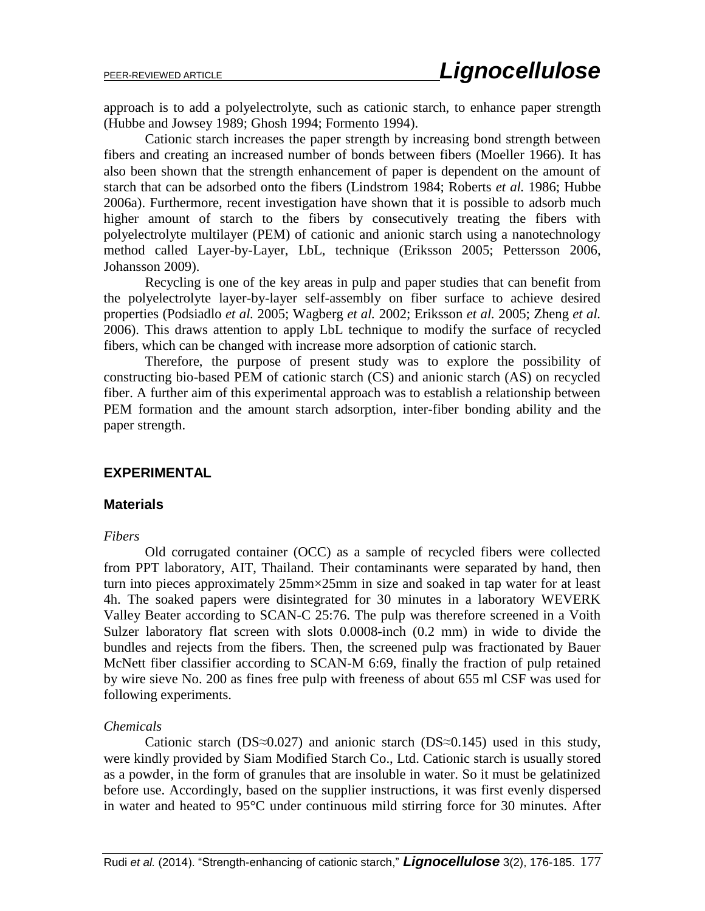approach is to add a polyelectrolyte, such as cationic starch, to enhance paper strength (Hubbe and Jowsey 1989; Ghosh 1994; Formento 1994).

Cationic starch increases the paper strength by increasing bond strength between fibers and creating an increased number of bonds between fibers (Moeller 1966). It has also been shown that the strength enhancement of paper is dependent on the amount of starch that can be adsorbed onto the fibers (Lindstrom 1984; Roberts *et al.* 1986; Hubbe 2006a). Furthermore, recent investigation have shown that it is possible to adsorb much higher amount of starch to the fibers by consecutively treating the fibers with polyelectrolyte multilayer (PEM) of cationic and anionic starch using a nanotechnology method called Layer-by-Layer, LbL, technique (Eriksson 2005; Pettersson 2006, Johansson 2009).

Recycling is one of the key areas in pulp and paper studies that can benefit from the polyelectrolyte layer-by-layer self-assembly on fiber surface to achieve desired properties (Podsiadlo *et al.* 2005; Wagberg *et al.* 2002; Eriksson *et al.* 2005; Zheng *et al.* 2006). This draws attention to apply LbL technique to modify the surface of recycled fibers, which can be changed with increase more adsorption of cationic starch.

Therefore, the purpose of present study was to explore the possibility of constructing bio-based PEM of cationic starch (CS) and anionic starch (AS) on recycled fiber. A further aim of this experimental approach was to establish a relationship between PEM formation and the amount starch adsorption, inter-fiber bonding ability and the paper strength.

## **EXPERIMENTAL**

#### **Materials**

#### *Fibers*

Old corrugated container (OCC) as a sample of recycled fibers were collected from PPT laboratory, AIT, Thailand. Their contaminants were separated by hand, then turn into pieces approximately 25mm×25mm in size and soaked in tap water for at least 4h. The soaked papers were disintegrated for 30 minutes in a laboratory WEVERK Valley Beater according to SCAN-C 25:76. The pulp was therefore screened in a Voith Sulzer laboratory flat screen with slots 0.0008-inch (0.2 mm) in wide to divide the bundles and rejects from the fibers. Then, the screened pulp was fractionated by Bauer McNett fiber classifier according to SCAN-M 6:69, finally the fraction of pulp retained by wire sieve No. 200 as fines free pulp with freeness of about 655 ml CSF was used for following experiments.

#### *Chemicals*

Cationic starch (DS≈0.027) and anionic starch (DS≈0.145) used in this study, were kindly provided by Siam Modified Starch Co., Ltd. Cationic starch is usually stored as a powder, in the form of granules that are insoluble in water. So it must be gelatinized before use. Accordingly, based on the supplier instructions, it was first evenly dispersed in water and heated to 95°C under continuous mild stirring force for 30 minutes. After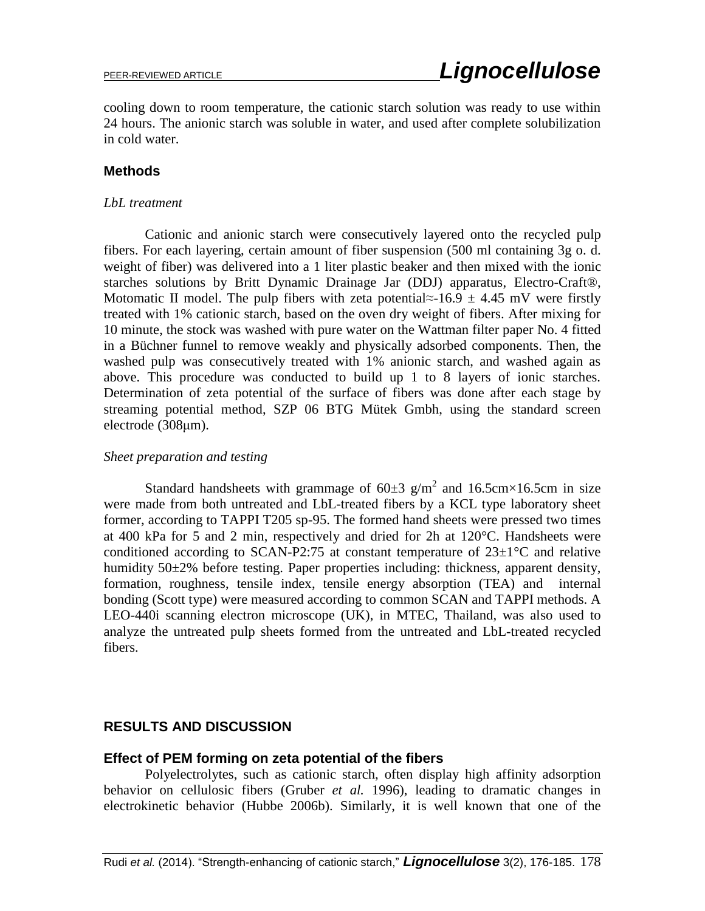cooling down to room temperature, the cationic starch solution was ready to use within 24 hours. The anionic starch was soluble in water, and used after complete solubilization in cold water.

#### **Methods**

#### *LbL treatment*

Cationic and anionic starch were consecutively layered onto the recycled pulp fibers. For each layering, certain amount of fiber suspension (500 ml containing 3g o. d. weight of fiber) was delivered into a 1 liter plastic beaker and then mixed with the ionic starches solutions by Britt Dynamic Drainage Jar (DDJ) apparatus, Electro-Craft®, Motomatic II model. The pulp fibers with zeta potential≈-16.9  $\pm$  4.45 mV were firstly treated with 1% cationic starch, based on the oven dry weight of fibers. After mixing for 10 minute, the stock was washed with pure water on the Wattman filter paper No. 4 fitted in a Büchner funnel to remove weakly and physically adsorbed components. Then, the washed pulp was consecutively treated with 1% anionic starch, and washed again as above. This procedure was conducted to build up 1 to 8 layers of ionic starches. Determination of zeta potential of the surface of fibers was done after each stage by streaming potential method, SZP 06 BTG Mütek Gmbh, using the standard screen electrode (308μm).

#### *Sheet preparation and testing*

Standard handsheets with grammage of  $60\pm3$  g/m<sup>2</sup> and 16.5cm×16.5cm in size were made from both untreated and LbL-treated fibers by a KCL type laboratory sheet former, according to TAPPI T205 sp-95. The formed hand sheets were pressed two times at 400 kPa for 5 and 2 min, respectively and dried for 2h at 120°C. Handsheets were conditioned according to SCAN-P2:75 at constant temperature of  $23\pm1\degree C$  and relative humidity 50±2% before testing. Paper properties including: thickness, apparent density, formation, roughness, tensile index, tensile energy absorption (TEA) and internal bonding (Scott type) were measured according to common SCAN and TAPPI methods. A LEO-440i scanning electron microscope (UK), in MTEC, Thailand, was also used to analyze the untreated pulp sheets formed from the untreated and LbL-treated recycled fibers.

## **RESULTS AND DISCUSSION**

## **Effect of PEM forming on zeta potential of the fibers**

Polyelectrolytes, such as cationic starch, often display high affinity adsorption behavior on cellulosic fibers (Gruber *et al.* 1996), leading to dramatic changes in electrokinetic behavior (Hubbe 2006b). Similarly, it is well known that one of the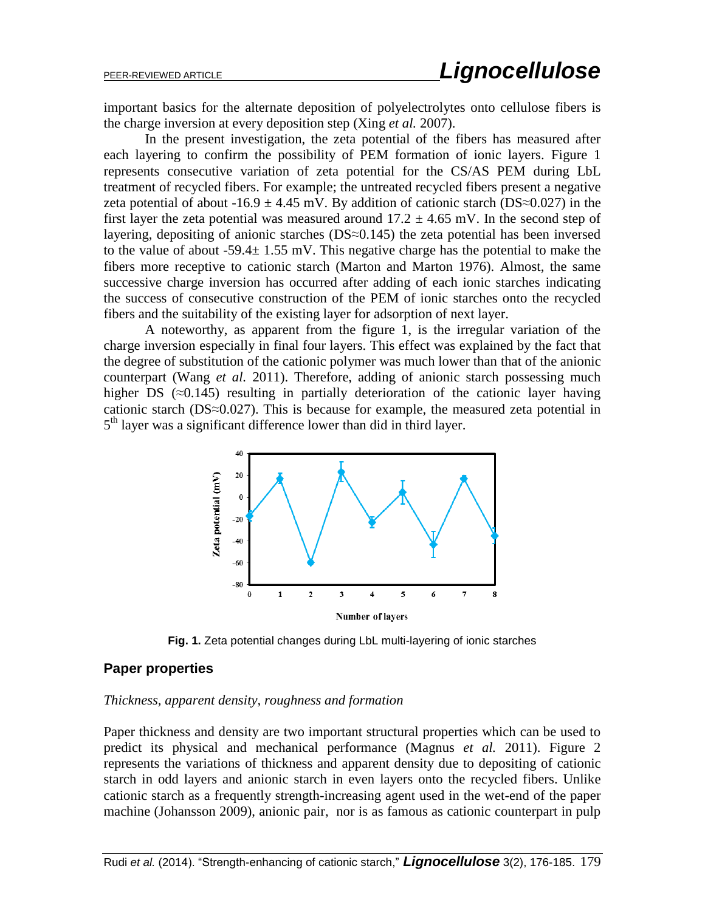important basics for the alternate deposition of polyelectrolytes onto cellulose fibers is the charge inversion at every deposition step (Xing *et al.* 2007).

In the present investigation, the zeta potential of the fibers has measured after each layering to confirm the possibility of PEM formation of ionic layers. Figure 1 represents consecutive variation of zeta potential for the CS/AS PEM during LbL treatment of recycled fibers. For example; the untreated recycled fibers present a negative zeta potential of about -16.9  $\pm$  4.45 mV. By addition of cationic starch (DS≈0.027) in the first layer the zeta potential was measured around  $17.2 \pm 4.65$  mV. In the second step of layering, depositing of anionic starches ( $DS \approx 0.145$ ) the zeta potential has been inversed to the value of about -59.4 $\pm$  1.55 mV. This negative charge has the potential to make the fibers more receptive to cationic starch (Marton and Marton 1976). Almost, the same successive charge inversion has occurred after adding of each ionic starches indicating the success of consecutive construction of the PEM of ionic starches onto the recycled fibers and the suitability of the existing layer for adsorption of next layer.

A noteworthy, as apparent from the figure 1, is the irregular variation of the charge inversion especially in final four layers. This effect was explained by the fact that the degree of substitution of the cationic polymer was much lower than that of the anionic counterpart (Wang *et al.* 2011). Therefore, adding of anionic starch possessing much higher DS  $(\approx 0.145)$  resulting in partially deterioration of the cationic layer having cationic starch (DS≈0.027). This is because for example, the measured zeta potential in 5<sup>th</sup> layer was a significant difference lower than did in third layer.



**Fig. 1.** Zeta potential changes during LbL multi-layering of ionic starches

## **Paper properties**

#### *Thickness, apparent density, roughness and formation*

Paper thickness and density are two important structural properties which can be used to predict its physical and mechanical performance (Magnus *et al.* 2011). Figure 2 represents the variations of thickness and apparent density due to depositing of cationic starch in odd layers and anionic starch in even layers onto the recycled fibers. Unlike cationic starch as a frequently strength-increasing agent used in the wet-end of the paper machine (Johansson 2009), anionic pair, nor is as famous as cationic counterpart in pulp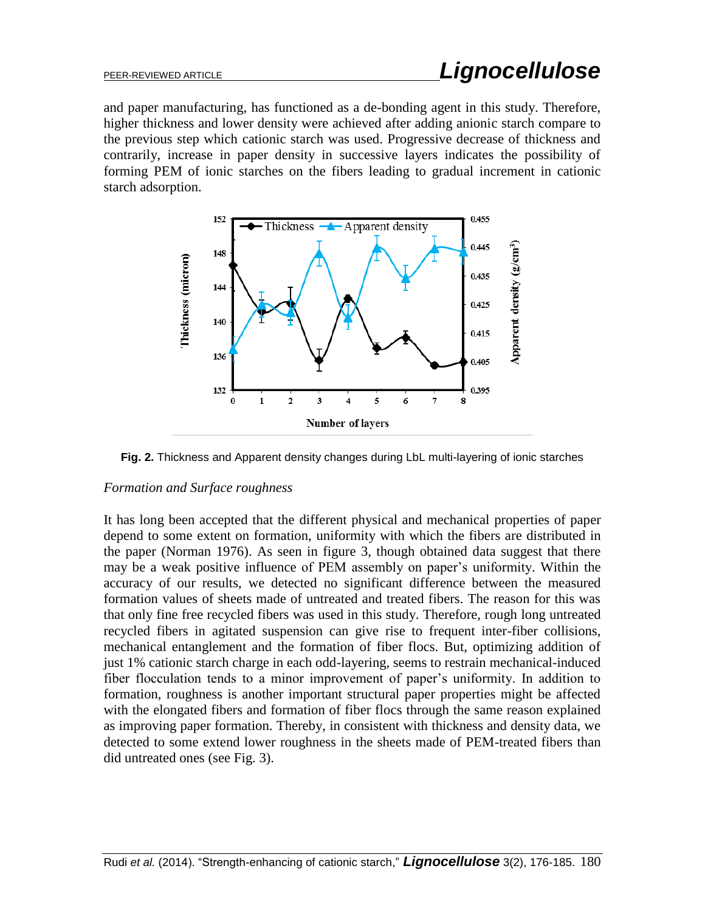and paper manufacturing, has functioned as a de-bonding agent in this study. Therefore, higher thickness and lower density were achieved after adding anionic starch compare to the previous step which cationic starch was used. Progressive decrease of thickness and contrarily, increase in paper density in successive layers indicates the possibility of forming PEM of ionic starches on the fibers leading to gradual increment in cationic starch adsorption.



**Fig. 2.** Thickness and Apparent density changes during LbL multi-layering of ionic starches

## *Formation and Surface roughness*

It has long been accepted that the different physical and mechanical properties of paper depend to some extent on formation, uniformity with which the fibers are distributed in the paper (Norman 1976). As seen in figure 3, though obtained data suggest that there may be a weak positive influence of PEM assembly on paper's uniformity. Within the accuracy of our results, we detected no significant difference between the measured formation values of sheets made of untreated and treated fibers. The reason for this was that only fine free recycled fibers was used in this study. Therefore, rough long untreated recycled fibers in agitated suspension can give rise to frequent inter-fiber collisions, mechanical entanglement and the formation of fiber flocs. But, optimizing addition of just 1% cationic starch charge in each odd-layering, seems to restrain mechanical-induced fiber flocculation tends to a minor improvement of paper's uniformity. In addition to formation, roughness is another important structural paper properties might be affected with the elongated fibers and formation of fiber flocs through the same reason explained as improving paper formation. Thereby, in consistent with thickness and density data, we detected to some extend lower roughness in the sheets made of PEM-treated fibers than did untreated ones (see Fig. 3).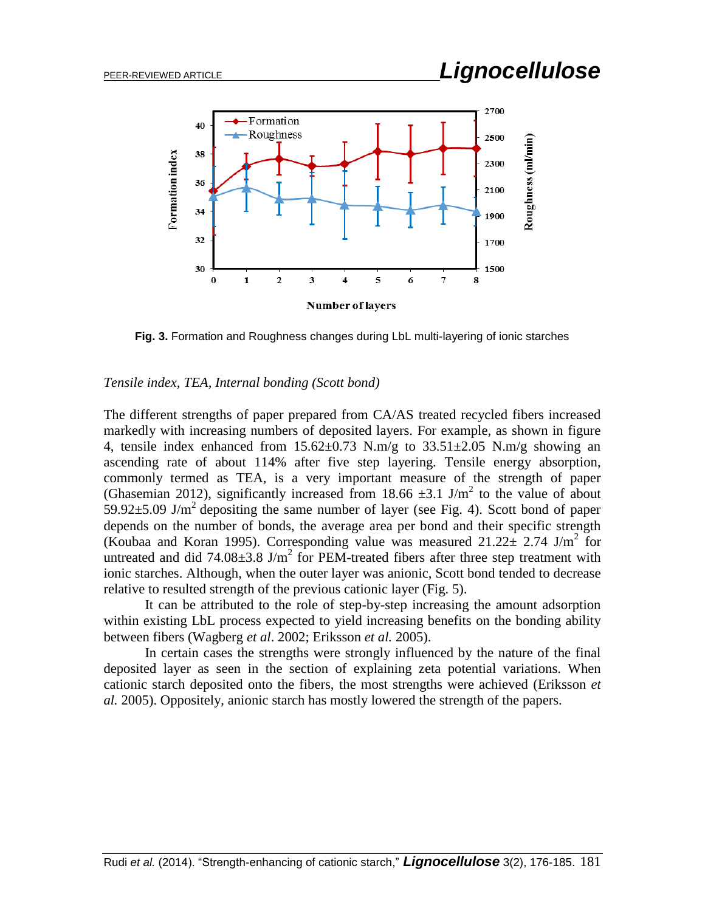![](_page_5_Figure_2.jpeg)

**Fig. 3.** Formation and Roughness changes during LbL multi-layering of ionic starches

#### *Tensile index, TEA, Internal bonding (Scott bond)*

The different strengths of paper prepared from CA/AS treated recycled fibers increased markedly with increasing numbers of deposited layers. For example, as shown in figure 4, tensile index enhanced from  $15.62 \pm 0.73$  N.m/g to  $33.51 \pm 2.05$  N.m/g showing an ascending rate of about 114% after five step layering. Tensile energy absorption, commonly termed as TEA, is a very important measure of the strength of paper (Ghasemian 2012), significantly increased from 18.66  $\pm$ 3.1 J/m<sup>2</sup> to the value of about  $59.92 \pm 5.09$  J/m<sup>2</sup> depositing the same number of layer (see Fig. 4). Scott bond of paper depends on the number of bonds, the average area per bond and their specific strength (Koubaa and Koran 1995). Corresponding value was measured  $21.22 \pm 2.74$  J/m<sup>2</sup> for untreated and did  $74.08\pm3.8$  J/m<sup>2</sup> for PEM-treated fibers after three step treatment with ionic starches. Although, when the outer layer was anionic, Scott bond tended to decrease relative to resulted strength of the previous cationic layer (Fig. 5).

It can be attributed to the role of step-by-step increasing the amount adsorption within existing LbL process expected to yield increasing benefits on the bonding ability between fibers (Wagberg *et al*. 2002; Eriksson *et al.* 2005).

In certain cases the strengths were strongly influenced by the nature of the final deposited layer as seen in the section of explaining zeta potential variations. When cationic starch deposited onto the fibers, the most strengths were achieved (Eriksson *et al.* 2005). Oppositely, anionic starch has mostly lowered the strength of the papers.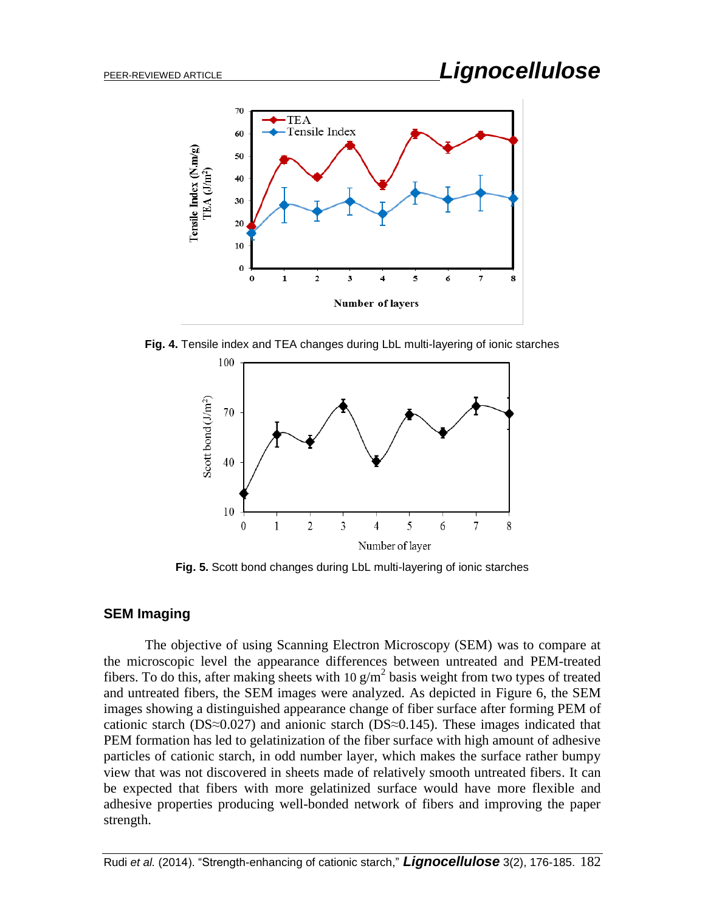![](_page_6_Figure_2.jpeg)

**Fig. 4.** Tensile index and TEA changes during LbL multi-layering of ionic starches

![](_page_6_Figure_4.jpeg)

**Fig. 5.** Scott bond changes during LbL multi-layering of ionic starches

## **SEM Imaging**

The objective of using Scanning Electron Microscopy (SEM) was to compare at the microscopic level the appearance differences between untreated and PEM-treated fibers. To do this, after making sheets with 10  $g/m^2$  basis weight from two types of treated and untreated fibers, the SEM images were analyzed. As depicted in Figure 6, the SEM images showing a distinguished appearance change of fiber surface after forming PEM of cationic starch (DS≈0.027) and anionic starch (DS≈0.145). These images indicated that PEM formation has led to gelatinization of the fiber surface with high amount of adhesive particles of cationic starch, in odd number layer, which makes the surface rather bumpy view that was not discovered in sheets made of relatively smooth untreated fibers. It can be expected that fibers with more gelatinized surface would have more flexible and adhesive properties producing well-bonded network of fibers and improving the paper strength.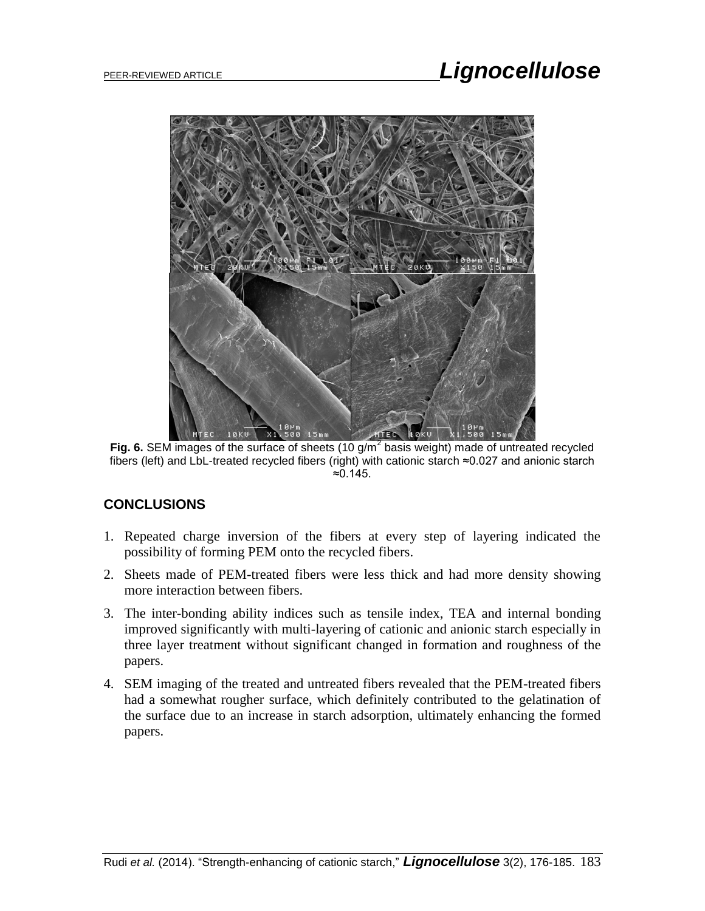![](_page_7_Picture_2.jpeg)

Fig. 6. SEM images of the surface of sheets (10 g/m<sup>2</sup> basis weight) made of untreated recycled fibers (left) and LbL-treated recycled fibers (right) with cationic starch ≈0.027 and anionic starch ≈0.145.

## **CONCLUSIONS**

- 1. Repeated charge inversion of the fibers at every step of layering indicated the possibility of forming PEM onto the recycled fibers.
- 2. Sheets made of PEM-treated fibers were less thick and had more density showing more interaction between fibers.
- 3. The inter-bonding ability indices such as tensile index, TEA and internal bonding improved significantly with multi-layering of cationic and anionic starch especially in three layer treatment without significant changed in formation and roughness of the papers.
- 4. SEM imaging of the treated and untreated fibers revealed that the PEM-treated fibers had a somewhat rougher surface, which definitely contributed to the gelatination of the surface due to an increase in starch adsorption, ultimately enhancing the formed papers.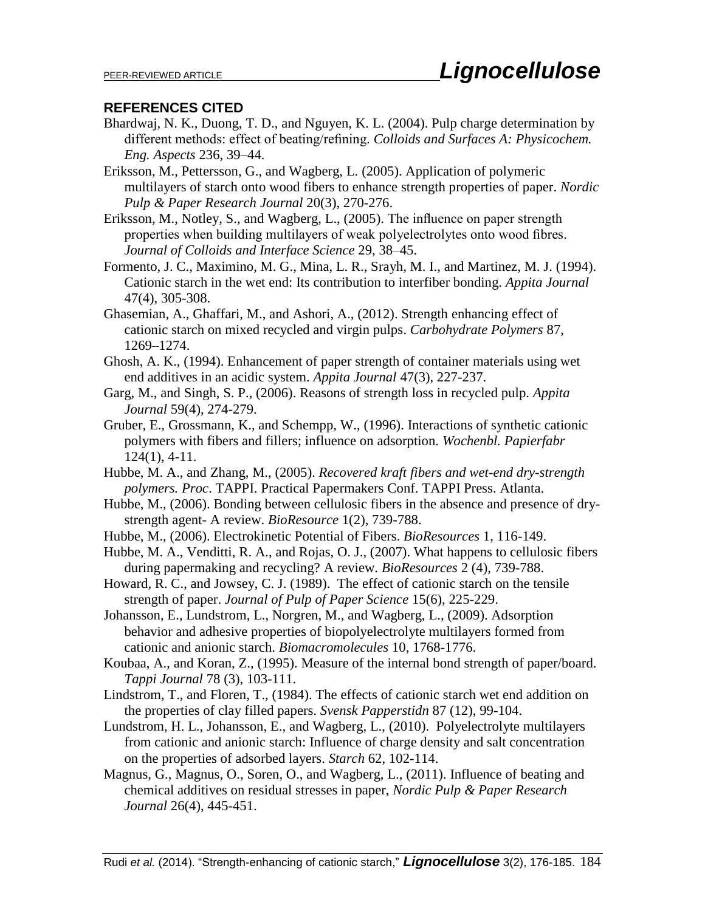## **REFERENCES CITED**

- Bhardwaj, N. K., Duong, T. D., and Nguyen, K. L. (2004). Pulp charge determination by different methods: effect of beating/refining. *Colloids and Surfaces A: Physicochem. Eng. Aspects* 236, 39–44.
- Eriksson, M., Pettersson, G., and Wagberg, L. (2005). Application of polymeric multilayers of starch onto wood fibers to enhance strength properties of paper. *Nordic Pulp & Paper Research Journal* 20(3), 270-276.
- Eriksson, M., Notley, S., and Wagberg, L., (2005). The influence on paper strength properties when building multilayers of weak polyelectrolytes onto wood fibres. *Journal of Colloids and Interface Science* 29, 38–45.
- Formento, J. C., Maximino, M. G., Mina, L. R., Srayh, M. I., and Martinez, M. J. (1994). Cationic starch in the wet end: Its contribution to interfiber bonding. *Appita Journal* 47(4), 305-308.
- Ghasemian, A., Ghaffari, M., and Ashori, A., (2012). Strength enhancing effect of cationic starch on mixed recycled and virgin pulps. *Carbohydrate Polymers* 87, 1269–1274.
- Ghosh, A. K., (1994). Enhancement of paper strength of container materials using wet end additives in an acidic system. *Appita Journal* 47(3), 227-237.
- Garg, M., and Singh, S. P., (2006). Reasons of strength loss in recycled pulp. *Appita Journal* 59(4), 274-279.
- Gruber, E., Grossmann, K., and Schempp, W., (1996). Interactions of synthetic cationic polymers with fibers and fillers; influence on adsorption. *Wochenbl. Papierfabr* 124(1), 4-11.
- Hubbe, M. A., and Zhang, M., (2005). *Recovered kraft fibers and wet-end dry-strength polymers. Proc*. TAPPI. Practical Papermakers Conf. TAPPI Press. Atlanta.
- Hubbe, M., (2006). Bonding between cellulosic fibers in the absence and presence of drystrength agent- A review. *BioResource* 1(2), 739-788.
- Hubbe, M., (2006). Electrokinetic Potential of Fibers. *BioResources* 1, 116-149.
- Hubbe, M. A., Venditti, R. A., and Rojas, O. J., (2007). What happens to cellulosic fibers during papermaking and recycling? A review. *BioResources* 2 (4), 739-788.
- Howard, R. C., and Jowsey, C. J. (1989). The effect of cationic starch on the tensile strength of paper. *Journal of Pulp of Paper Science* 15(6), 225-229.
- Johansson, E., Lundstrom, L., Norgren, M., and Wagberg, L., (2009). Adsorption behavior and adhesive properties of biopolyelectrolyte multilayers formed from cationic and anionic starch. *Biomacromolecules* 10, 1768-1776.
- Koubaa, A., and Koran, Z., (1995). Measure of the internal bond strength of paper/board. *Tappi Journal* 78 (3), 103-111.
- Lindstrom, T., and Floren, T., (1984). The effects of cationic starch wet end addition on the properties of clay filled papers. *Svensk Papperstidn* 87 (12), 99-104.
- Lundstrom, H. L., Johansson, E., and Wagberg, L., (2010). Polyelectrolyte multilayers from cationic and anionic starch: Influence of charge density and salt concentration on the properties of adsorbed layers. *Starch* 62, 102-114.
- Magnus, G., Magnus, O., Soren, O., and Wagberg, L., (2011). Influence of beating and chemical additives on residual stresses in paper, *Nordic Pulp & Paper Research Journal* 26(4), 445-451.